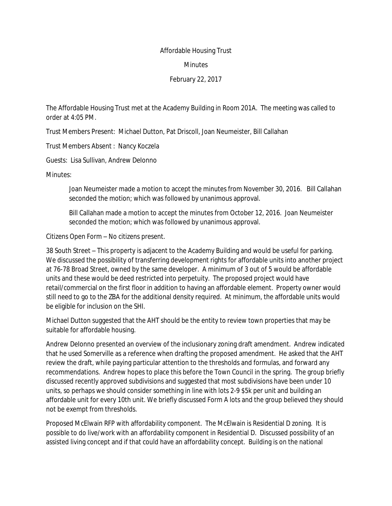## Affordable Housing Trust

## Minutes

## February 22, 2017

The Affordable Housing Trust met at the Academy Building in Room 201A. The meeting was called to order at 4:05 PM.

Trust Members Present: Michael Dutton, Pat Driscoll, Joan Neumeister, Bill Callahan

Trust Members Absent : Nancy Koczela

Guests: Lisa Sullivan, Andrew DeIonno

Minutes:

Joan Neumeister made a motion to accept the minutes from November 30, 2016. Bill Callahan seconded the motion; which was followed by unanimous approval.

Bill Callahan made a motion to accept the minutes from October 12, 2016. Joan Neumeister seconded the motion; which was followed by unanimous approval.

Citizens Open Form – No citizens present.

38 South Street – This property is adjacent to the Academy Building and would be useful for parking. We discussed the possibility of transferring development rights for affordable units into another project at 76-78 Broad Street, owned by the same developer. A minimum of 3 out of 5 would be affordable units and these would be deed restricted into perpetuity. The proposed project would have retail/commercial on the first floor in addition to having an affordable element. Property owner would still need to go to the ZBA for the additional density required. At minimum, the affordable units would be eligible for inclusion on the SHI.

Michael Dutton suggested that the AHT should be the entity to review town properties that may be suitable for affordable housing.

Andrew Delonno presented an overview of the inclusionary zoning draft amendment. Andrew indicated that he used Somerville as a reference when drafting the proposed amendment. He asked that the AHT review the draft, while paying particular attention to the thresholds and formulas, and forward any recommendations. Andrew hopes to place this before the Town Council in the spring. The group briefly discussed recently approved subdivisions and suggested that most subdivisions have been under 10 units, so perhaps we should consider something in line with lots 2-9 \$5k per unit and building an affordable unit for every 10th unit. We briefly discussed Form A lots and the group believed they should not be exempt from thresholds.

Proposed McElwain RFP with affordability component. The McElwain is Residential D zoning. It is possible to do live/work with an affordability component in Residential D. Discussed possibility of an assisted living concept and if that could have an affordability concept. Building is on the national